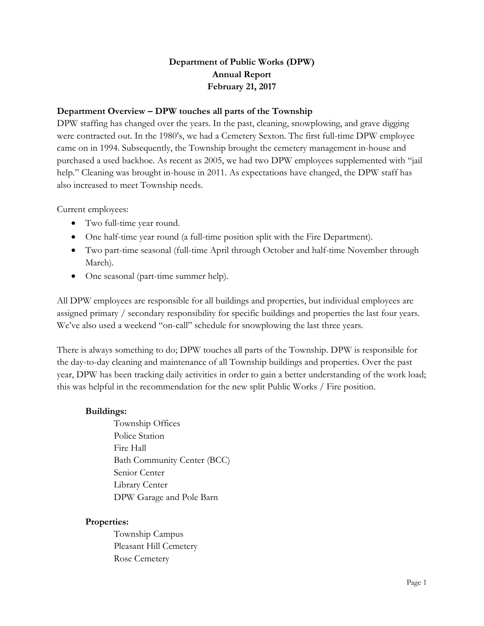# **Department of Public Works (DPW) Annual Report February 21, 2017**

### **Department Overview – DPW touches all parts of the Township**

DPW staffing has changed over the years. In the past, cleaning, snowplowing, and grave digging were contracted out. In the 1980's, we had a Cemetery Sexton. The first full-time DPW employee came on in 1994. Subsequently, the Township brought the cemetery management in-house and purchased a used backhoe. As recent as 2005, we had two DPW employees supplemented with "jail help." Cleaning was brought in-house in 2011. As expectations have changed, the DPW staff has also increased to meet Township needs.

Current employees:

- Two full-time year round.
- One half-time year round (a full-time position split with the Fire Department).
- Two part-time seasonal (full-time April through October and half-time November through March).
- One seasonal (part-time summer help).

All DPW employees are responsible for all buildings and properties, but individual employees are assigned primary / secondary responsibility for specific buildings and properties the last four years. We've also used a weekend "on-call" schedule for snowplowing the last three years.

There is always something to do; DPW touches all parts of the Township. DPW is responsible for the day-to-day cleaning and maintenance of all Township buildings and properties. Over the past year, DPW has been tracking daily activities in order to gain a better understanding of the work load; this was helpful in the recommendation for the new split Public Works / Fire position.

### **Buildings:**

Township Offices Police Station Fire Hall Bath Community Center (BCC) Senior Center Library Center DPW Garage and Pole Barn

### **Properties:**

Township Campus Pleasant Hill Cemetery Rose Cemetery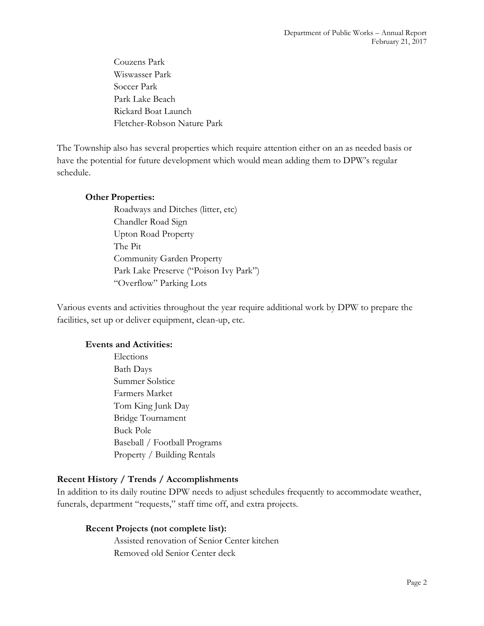Couzens Park Wiswasser Park Soccer Park Park Lake Beach Rickard Boat Launch Fletcher-Robson Nature Park

The Township also has several properties which require attention either on an as needed basis or have the potential for future development which would mean adding them to DPW's regular schedule.

#### **Other Properties:**

Roadways and Ditches (litter, etc) Chandler Road Sign Upton Road Property The Pit Community Garden Property Park Lake Preserve ("Poison Ivy Park") "Overflow" Parking Lots

Various events and activities throughout the year require additional work by DPW to prepare the facilities, set up or deliver equipment, clean-up, etc.

#### **Events and Activities:**

Elections Bath Days Summer Solstice Farmers Market Tom King Junk Day Bridge Tournament Buck Pole Baseball / Football Programs Property / Building Rentals

### **Recent History / Trends / Accomplishments**

In addition to its daily routine DPW needs to adjust schedules frequently to accommodate weather, funerals, department "requests," staff time off, and extra projects.

### **Recent Projects (not complete list):**

Assisted renovation of Senior Center kitchen Removed old Senior Center deck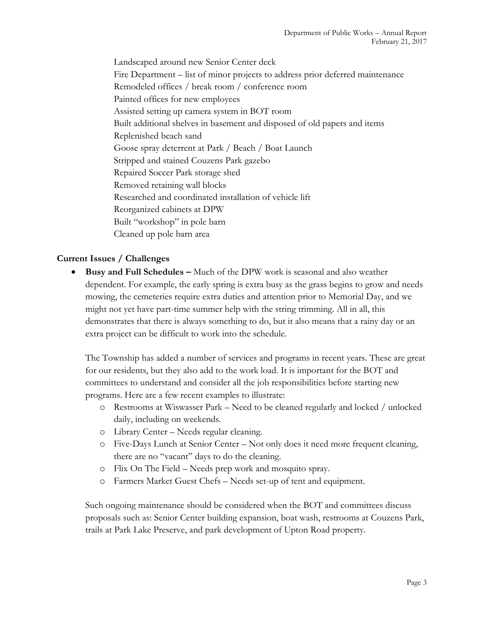Landscaped around new Senior Center deck Fire Department – list of minor projects to address prior deferred maintenance Remodeled offices / break room / conference room Painted offices for new employees Assisted setting up camera system in BOT room Built additional shelves in basement and disposed of old papers and items Replenished beach sand Goose spray deterrent at Park / Beach / Boat Launch Stripped and stained Couzens Park gazebo Repaired Soccer Park storage shed Removed retaining wall blocks Researched and coordinated installation of vehicle lift Reorganized cabinets at DPW Built "workshop" in pole barn Cleaned up pole barn area

## **Current Issues / Challenges**

 **Busy and Full Schedules –** Much of the DPW work is seasonal and also weather dependent. For example, the early spring is extra busy as the grass begins to grow and needs mowing, the cemeteries require extra duties and attention prior to Memorial Day, and we might not yet have part-time summer help with the string trimming. All in all, this demonstrates that there is always something to do, but it also means that a rainy day or an extra project can be difficult to work into the schedule.

The Township has added a number of services and programs in recent years. These are great for our residents, but they also add to the work load. It is important for the BOT and committees to understand and consider all the job responsibilities before starting new programs. Here are a few recent examples to illustrate:

- o Restrooms at Wiswasser Park Need to be cleaned regularly and locked / unlocked daily, including on weekends.
- o Library Center Needs regular cleaning.
- o Five-Days Lunch at Senior Center Not only does it need more frequent cleaning, there are no "vacant" days to do the cleaning.
- o Flix On The Field Needs prep work and mosquito spray.
- o Farmers Market Guest Chefs Needs set-up of tent and equipment.

Such ongoing maintenance should be considered when the BOT and committees discuss proposals such as: Senior Center building expansion, boat wash, restrooms at Couzens Park, trails at Park Lake Preserve, and park development of Upton Road property.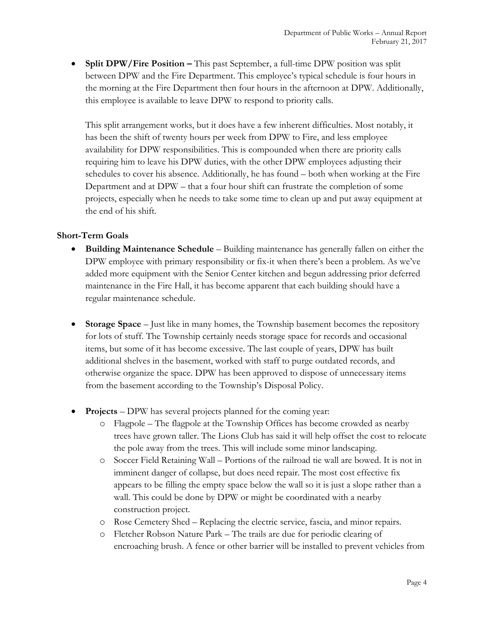• **Split DPW/Fire Position –** This past September, a full-time DPW position was split between DPW and the Fire Department. This employee's typical schedule is four hours in the morning at the Fire Department then four hours in the afternoon at DPW. Additionally, this employee is available to leave DPW to respond to priority calls.

This split arrangement works, but it does have a few inherent difficulties. Most notably, it has been the shift of twenty hours per week from DPW to Fire, and less employee availability for DPW responsibilities. This is compounded when there are priority calls requiring him to leave his DPW duties, with the other DPW employees adjusting their schedules to cover his absence. Additionally, he has found – both when working at the Fire Department and at DPW – that a four hour shift can frustrate the completion of some projects, especially when he needs to take some time to clean up and put away equipment at the end of his shift.

### **Short-Term Goals**

- **Building Maintenance Schedule** Building maintenance has generally fallen on either the DPW employee with primary responsibility or fix-it when there's been a problem. As we've added more equipment with the Senior Center kitchen and begun addressing prior deferred maintenance in the Fire Hall, it has become apparent that each building should have a regular maintenance schedule.
- **Storage Space** Just like in many homes, the Township basement becomes the repository for lots of stuff. The Township certainly needs storage space for records and occasional items, but some of it has become excessive. The last couple of years, DPW has built additional shelves in the basement, worked with staff to purge outdated records, and otherwise organize the space. DPW has been approved to dispose of unnecessary items from the basement according to the Township's Disposal Policy.
- **Projects** DPW has several projects planned for the coming year:
	- o Flagpole The flagpole at the Township Offices has become crowded as nearby trees have grown taller. The Lions Club has said it will help offset the cost to relocate the pole away from the trees. This will include some minor landscaping.
	- o Soccer Field Retaining Wall Portions of the railroad tie wall are bowed. It is not in imminent danger of collapse, but does need repair. The most cost effective fix appears to be filling the empty space below the wall so it is just a slope rather than a wall. This could be done by DPW or might be coordinated with a nearby construction project.
	- o Rose Cemetery Shed Replacing the electric service, fascia, and minor repairs.
	- o Fletcher Robson Nature Park The trails are due for periodic clearing of encroaching brush. A fence or other barrier will be installed to prevent vehicles from